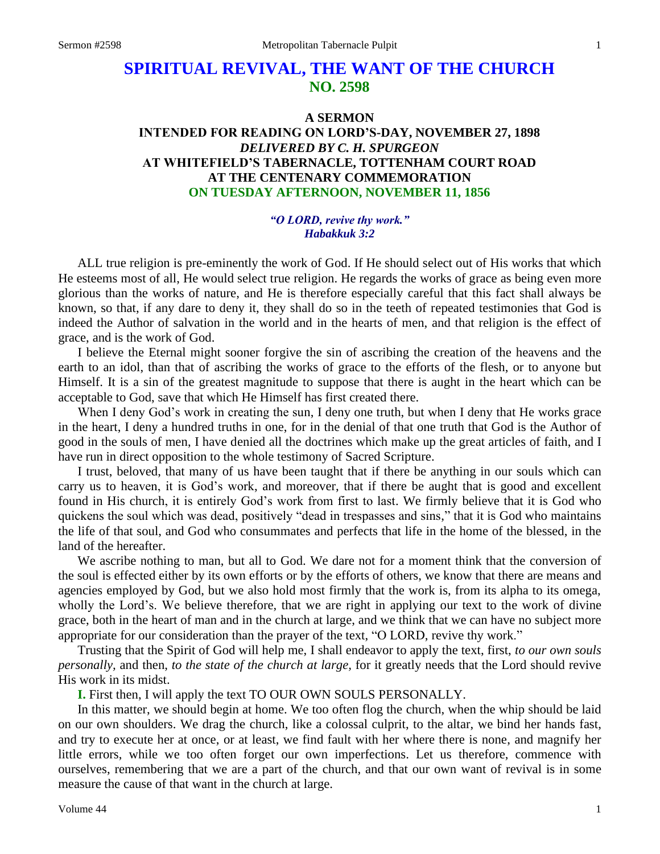## **SPIRITUAL REVIVAL, THE WANT OF THE CHURCH NO. 2598**

## **A SERMON INTENDED FOR READING ON LORD'S-DAY, NOVEMBER 27, 1898** *DELIVERED BY C. H. SPURGEON* **AT WHITEFIELD'S TABERNACLE, TOTTENHAM COURT ROAD AT THE CENTENARY COMMEMORATION ON TUESDAY AFTERNOON, NOVEMBER 11, 1856**

## *"O LORD, revive thy work." Habakkuk 3:2*

ALL true religion is pre-eminently the work of God. If He should select out of His works that which He esteems most of all, He would select true religion. He regards the works of grace as being even more glorious than the works of nature, and He is therefore especially careful that this fact shall always be known, so that, if any dare to deny it, they shall do so in the teeth of repeated testimonies that God is indeed the Author of salvation in the world and in the hearts of men, and that religion is the effect of grace, and is the work of God.

I believe the Eternal might sooner forgive the sin of ascribing the creation of the heavens and the earth to an idol, than that of ascribing the works of grace to the efforts of the flesh, or to anyone but Himself. It is a sin of the greatest magnitude to suppose that there is aught in the heart which can be acceptable to God, save that which He Himself has first created there.

When I deny God's work in creating the sun, I deny one truth, but when I deny that He works grace in the heart, I deny a hundred truths in one, for in the denial of that one truth that God is the Author of good in the souls of men, I have denied all the doctrines which make up the great articles of faith, and I have run in direct opposition to the whole testimony of Sacred Scripture.

I trust, beloved, that many of us have been taught that if there be anything in our souls which can carry us to heaven, it is God's work, and moreover, that if there be aught that is good and excellent found in His church, it is entirely God's work from first to last. We firmly believe that it is God who quickens the soul which was dead, positively "dead in trespasses and sins," that it is God who maintains the life of that soul, and God who consummates and perfects that life in the home of the blessed, in the land of the hereafter.

We ascribe nothing to man, but all to God. We dare not for a moment think that the conversion of the soul is effected either by its own efforts or by the efforts of others, we know that there are means and agencies employed by God, but we also hold most firmly that the work is, from its alpha to its omega, wholly the Lord's. We believe therefore, that we are right in applying our text to the work of divine grace, both in the heart of man and in the church at large, and we think that we can have no subject more appropriate for our consideration than the prayer of the text, "O LORD, revive thy work."

Trusting that the Spirit of God will help me, I shall endeavor to apply the text, first, *to our own souls personally,* and then, *to the state of the church at large,* for it greatly needs that the Lord should revive His work in its midst.

**I.** First then, I will apply the text TO OUR OWN SOULS PERSONALLY.

In this matter, we should begin at home. We too often flog the church, when the whip should be laid on our own shoulders. We drag the church, like a colossal culprit, to the altar, we bind her hands fast, and try to execute her at once, or at least, we find fault with her where there is none, and magnify her little errors, while we too often forget our own imperfections. Let us therefore, commence with ourselves, remembering that we are a part of the church, and that our own want of revival is in some measure the cause of that want in the church at large.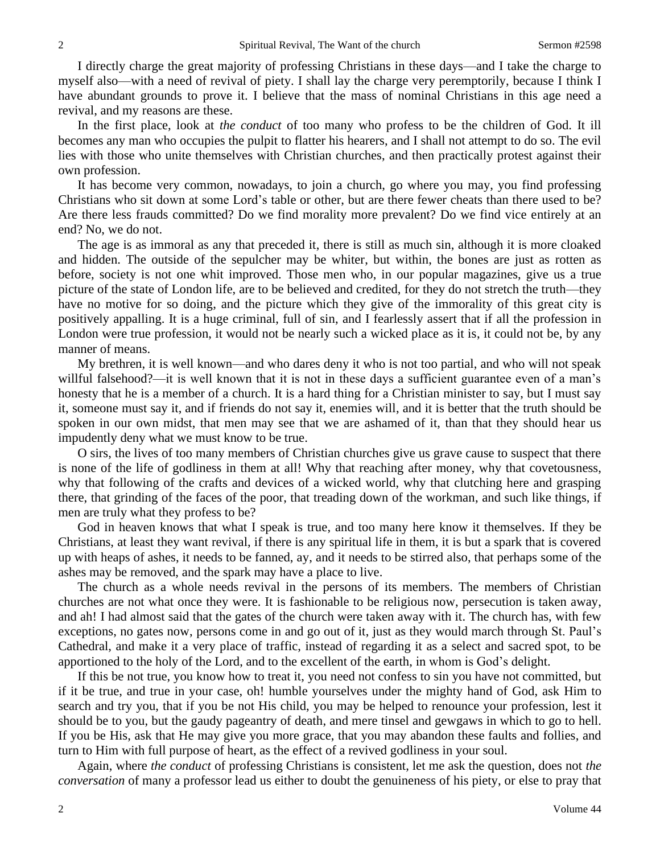I directly charge the great majority of professing Christians in these days—and I take the charge to myself also—with a need of revival of piety. I shall lay the charge very peremptorily, because I think I have abundant grounds to prove it. I believe that the mass of nominal Christians in this age need a revival, and my reasons are these.

In the first place, look at *the conduct* of too many who profess to be the children of God. It ill becomes any man who occupies the pulpit to flatter his hearers, and I shall not attempt to do so. The evil lies with those who unite themselves with Christian churches, and then practically protest against their own profession.

It has become very common, nowadays, to join a church, go where you may, you find professing Christians who sit down at some Lord's table or other, but are there fewer cheats than there used to be? Are there less frauds committed? Do we find morality more prevalent? Do we find vice entirely at an end? No, we do not.

The age is as immoral as any that preceded it, there is still as much sin, although it is more cloaked and hidden. The outside of the sepulcher may be whiter, but within, the bones are just as rotten as before, society is not one whit improved. Those men who, in our popular magazines, give us a true picture of the state of London life, are to be believed and credited, for they do not stretch the truth—they have no motive for so doing, and the picture which they give of the immorality of this great city is positively appalling. It is a huge criminal, full of sin, and I fearlessly assert that if all the profession in London were true profession, it would not be nearly such a wicked place as it is, it could not be, by any manner of means.

My brethren, it is well known—and who dares deny it who is not too partial, and who will not speak willful falsehood?—it is well known that it is not in these days a sufficient guarantee even of a man's honesty that he is a member of a church. It is a hard thing for a Christian minister to say, but I must say it, someone must say it, and if friends do not say it, enemies will, and it is better that the truth should be spoken in our own midst, that men may see that we are ashamed of it, than that they should hear us impudently deny what we must know to be true.

O sirs, the lives of too many members of Christian churches give us grave cause to suspect that there is none of the life of godliness in them at all! Why that reaching after money, why that covetousness, why that following of the crafts and devices of a wicked world, why that clutching here and grasping there, that grinding of the faces of the poor, that treading down of the workman, and such like things, if men are truly what they profess to be?

God in heaven knows that what I speak is true, and too many here know it themselves. If they be Christians, at least they want revival, if there is any spiritual life in them, it is but a spark that is covered up with heaps of ashes, it needs to be fanned, ay, and it needs to be stirred also, that perhaps some of the ashes may be removed, and the spark may have a place to live.

The church as a whole needs revival in the persons of its members. The members of Christian churches are not what once they were. It is fashionable to be religious now, persecution is taken away, and ah! I had almost said that the gates of the church were taken away with it. The church has, with few exceptions, no gates now, persons come in and go out of it, just as they would march through St. Paul's Cathedral, and make it a very place of traffic, instead of regarding it as a select and sacred spot, to be apportioned to the holy of the Lord, and to the excellent of the earth, in whom is God's delight.

If this be not true, you know how to treat it, you need not confess to sin you have not committed, but if it be true, and true in your case, oh! humble yourselves under the mighty hand of God, ask Him to search and try you, that if you be not His child, you may be helped to renounce your profession, lest it should be to you, but the gaudy pageantry of death, and mere tinsel and gewgaws in which to go to hell. If you be His, ask that He may give you more grace, that you may abandon these faults and follies, and turn to Him with full purpose of heart, as the effect of a revived godliness in your soul.

Again, where *the conduct* of professing Christians is consistent, let me ask the question, does not *the conversation* of many a professor lead us either to doubt the genuineness of his piety, or else to pray that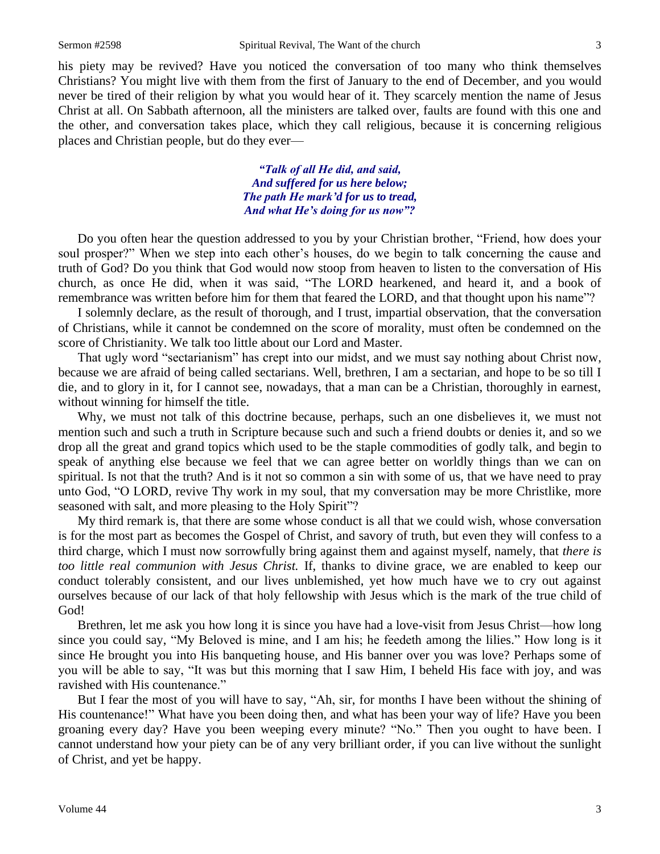his piety may be revived? Have you noticed the conversation of too many who think themselves Christians? You might live with them from the first of January to the end of December, and you would never be tired of their religion by what you would hear of it. They scarcely mention the name of Jesus Christ at all. On Sabbath afternoon, all the ministers are talked over, faults are found with this one and the other, and conversation takes place, which they call religious, because it is concerning religious places and Christian people, but do they ever—

> *"Talk of all He did, and said, And suffered for us here below; The path He mark'd for us to tread, And what He's doing for us now"?*

Do you often hear the question addressed to you by your Christian brother, "Friend, how does your soul prosper?" When we step into each other's houses, do we begin to talk concerning the cause and truth of God? Do you think that God would now stoop from heaven to listen to the conversation of His church, as once He did, when it was said, "The LORD hearkened, and heard it, and a book of remembrance was written before him for them that feared the LORD, and that thought upon his name"?

I solemnly declare, as the result of thorough, and I trust, impartial observation, that the conversation of Christians, while it cannot be condemned on the score of morality, must often be condemned on the score of Christianity. We talk too little about our Lord and Master.

That ugly word "sectarianism" has crept into our midst, and we must say nothing about Christ now, because we are afraid of being called sectarians. Well, brethren, I am a sectarian, and hope to be so till I die, and to glory in it, for I cannot see, nowadays, that a man can be a Christian, thoroughly in earnest, without winning for himself the title.

Why, we must not talk of this doctrine because, perhaps, such an one disbelieves it, we must not mention such and such a truth in Scripture because such and such a friend doubts or denies it, and so we drop all the great and grand topics which used to be the staple commodities of godly talk, and begin to speak of anything else because we feel that we can agree better on worldly things than we can on spiritual. Is not that the truth? And is it not so common a sin with some of us, that we have need to pray unto God, "O LORD, revive Thy work in my soul, that my conversation may be more Christlike, more seasoned with salt, and more pleasing to the Holy Spirit"?

My third remark is, that there are some whose conduct is all that we could wish, whose conversation is for the most part as becomes the Gospel of Christ, and savory of truth, but even they will confess to a third charge, which I must now sorrowfully bring against them and against myself, namely, that *there is too little real communion with Jesus Christ.* If, thanks to divine grace, we are enabled to keep our conduct tolerably consistent, and our lives unblemished, yet how much have we to cry out against ourselves because of our lack of that holy fellowship with Jesus which is the mark of the true child of God!

Brethren, let me ask you how long it is since you have had a love-visit from Jesus Christ—how long since you could say, "My Beloved is mine, and I am his; he feedeth among the lilies." How long is it since He brought you into His banqueting house, and His banner over you was love? Perhaps some of you will be able to say, "It was but this morning that I saw Him, I beheld His face with joy, and was ravished with His countenance."

But I fear the most of you will have to say, "Ah, sir, for months I have been without the shining of His countenance!" What have you been doing then, and what has been your way of life? Have you been groaning every day? Have you been weeping every minute? "No." Then you ought to have been. I cannot understand how your piety can be of any very brilliant order, if you can live without the sunlight of Christ, and yet be happy.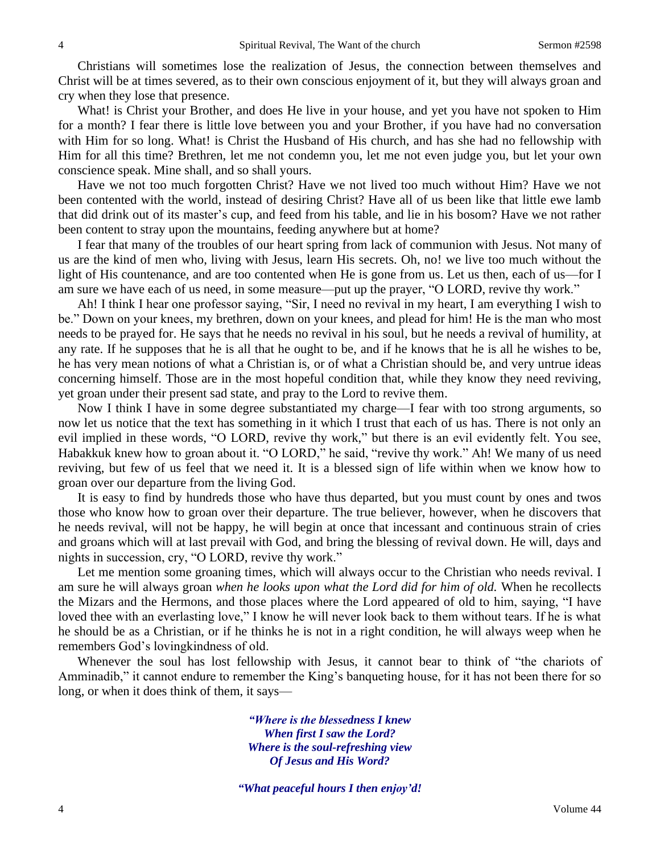Christians will sometimes lose the realization of Jesus, the connection between themselves and Christ will be at times severed, as to their own conscious enjoyment of it, but they will always groan and cry when they lose that presence.

What! is Christ your Brother, and does He live in your house, and yet you have not spoken to Him for a month? I fear there is little love between you and your Brother, if you have had no conversation with Him for so long. What! is Christ the Husband of His church, and has she had no fellowship with Him for all this time? Brethren, let me not condemn you, let me not even judge you, but let your own conscience speak. Mine shall, and so shall yours.

Have we not too much forgotten Christ? Have we not lived too much without Him? Have we not been contented with the world, instead of desiring Christ? Have all of us been like that little ewe lamb that did drink out of its master's cup, and feed from his table, and lie in his bosom? Have we not rather been content to stray upon the mountains, feeding anywhere but at home?

I fear that many of the troubles of our heart spring from lack of communion with Jesus. Not many of us are the kind of men who, living with Jesus, learn His secrets. Oh, no! we live too much without the light of His countenance, and are too contented when He is gone from us. Let us then, each of us—for I am sure we have each of us need, in some measure—put up the prayer, "O LORD, revive thy work."

Ah! I think I hear one professor saying, "Sir, I need no revival in my heart, I am everything I wish to be." Down on your knees, my brethren, down on your knees, and plead for him! He is the man who most needs to be prayed for. He says that he needs no revival in his soul, but he needs a revival of humility, at any rate. If he supposes that he is all that he ought to be, and if he knows that he is all he wishes to be, he has very mean notions of what a Christian is, or of what a Christian should be, and very untrue ideas concerning himself. Those are in the most hopeful condition that, while they know they need reviving, yet groan under their present sad state, and pray to the Lord to revive them.

Now I think I have in some degree substantiated my charge—I fear with too strong arguments, so now let us notice that the text has something in it which I trust that each of us has. There is not only an evil implied in these words, "O LORD, revive thy work," but there is an evil evidently felt. You see, Habakkuk knew how to groan about it. "O LORD," he said, "revive thy work." Ah! We many of us need reviving, but few of us feel that we need it. It is a blessed sign of life within when we know how to groan over our departure from the living God.

It is easy to find by hundreds those who have thus departed, but you must count by ones and twos those who know how to groan over their departure. The true believer, however, when he discovers that he needs revival, will not be happy, he will begin at once that incessant and continuous strain of cries and groans which will at last prevail with God, and bring the blessing of revival down. He will, days and nights in succession, cry, "O LORD, revive thy work."

Let me mention some groaning times, which will always occur to the Christian who needs revival. I am sure he will always groan *when he looks upon what the Lord did for him of old.* When he recollects the Mizars and the Hermons, and those places where the Lord appeared of old to him, saying, "I have loved thee with an everlasting love," I know he will never look back to them without tears. If he is what he should be as a Christian, or if he thinks he is not in a right condition, he will always weep when he remembers God's lovingkindness of old.

Whenever the soul has lost fellowship with Jesus, it cannot bear to think of "the chariots of Amminadib," it cannot endure to remember the King's banqueting house, for it has not been there for so long, or when it does think of them, it says—

> *"Where is the blessedness I knew When first I saw the Lord? Where is the soul-refreshing view Of Jesus and His Word?*

*"What peaceful hours I then enjoy'd!*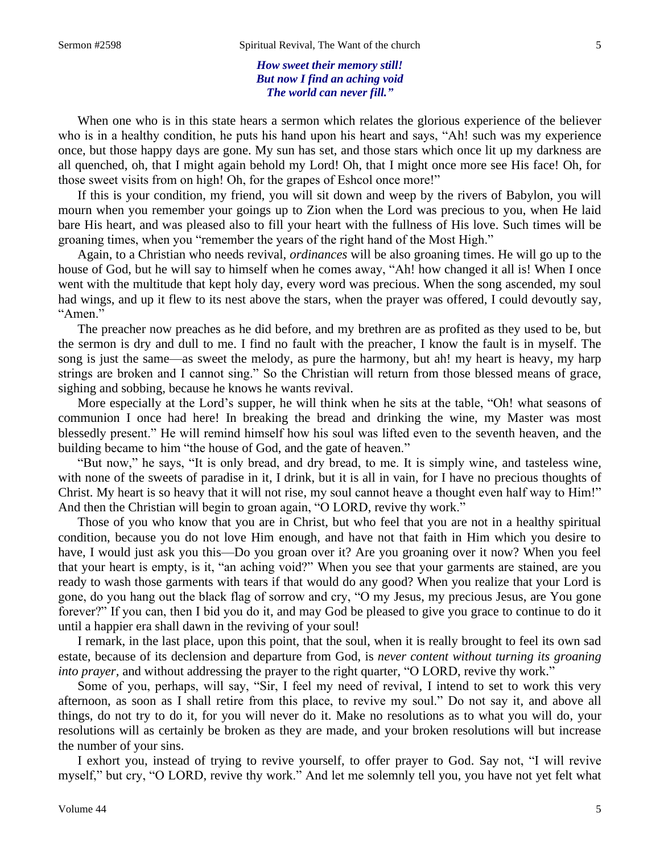*How sweet their memory still! But now I find an aching void The world can never fill."*

When one who is in this state hears a sermon which relates the glorious experience of the believer who is in a healthy condition, he puts his hand upon his heart and says, "Ah! such was my experience once, but those happy days are gone. My sun has set, and those stars which once lit up my darkness are all quenched, oh, that I might again behold my Lord! Oh, that I might once more see His face! Oh, for those sweet visits from on high! Oh, for the grapes of Eshcol once more!"

If this is your condition, my friend, you will sit down and weep by the rivers of Babylon, you will mourn when you remember your goings up to Zion when the Lord was precious to you, when He laid bare His heart, and was pleased also to fill your heart with the fullness of His love. Such times will be groaning times, when you "remember the years of the right hand of the Most High."

Again, to a Christian who needs revival, *ordinances* will be also groaning times. He will go up to the house of God, but he will say to himself when he comes away, "Ah! how changed it all is! When I once went with the multitude that kept holy day, every word was precious. When the song ascended, my soul had wings, and up it flew to its nest above the stars, when the prayer was offered, I could devoutly say*,* "Amen."

The preacher now preaches as he did before, and my brethren are as profited as they used to be, but the sermon is dry and dull to me. I find no fault with the preacher, I know the fault is in myself. The song is just the same—as sweet the melody, as pure the harmony, but ah! my heart is heavy, my harp strings are broken and I cannot sing." So the Christian will return from those blessed means of grace, sighing and sobbing, because he knows he wants revival.

More especially at the Lord's supper, he will think when he sits at the table, "Oh! what seasons of communion I once had here! In breaking the bread and drinking the wine, my Master was most blessedly present." He will remind himself how his soul was lifted even to the seventh heaven, and the building became to him "the house of God, and the gate of heaven."

"But now," he says, "It is only bread, and dry bread, to me. It is simply wine, and tasteless wine, with none of the sweets of paradise in it, I drink, but it is all in vain, for I have no precious thoughts of Christ. My heart is so heavy that it will not rise, my soul cannot heave a thought even half way to Him!" And then the Christian will begin to groan again, "O LORD, revive thy work."

Those of you who know that you are in Christ, but who feel that you are not in a healthy spiritual condition, because you do not love Him enough, and have not that faith in Him which you desire to have, I would just ask you this—Do you groan over it? Are you groaning over it now? When you feel that your heart is empty, is it, "an aching void?" When you see that your garments are stained, are you ready to wash those garments with tears if that would do any good? When you realize that your Lord is gone, do you hang out the black flag of sorrow and cry, "O my Jesus, my precious Jesus, are You gone forever?" If you can, then I bid you do it, and may God be pleased to give you grace to continue to do it until a happier era shall dawn in the reviving of your soul!

I remark, in the last place, upon this point, that the soul, when it is really brought to feel its own sad estate, because of its declension and departure from God, is *never content without turning its groaning into prayer*, and without addressing the prayer to the right quarter, "O LORD, revive thy work."

Some of you, perhaps, will say, "Sir, I feel my need of revival, I intend to set to work this very afternoon, as soon as I shall retire from this place, to revive my soul." Do not say it, and above all things, do not try to do it, for you will never do it. Make no resolutions as to what you will do, your resolutions will as certainly be broken as they are made, and your broken resolutions will but increase the number of your sins.

I exhort you, instead of trying to revive yourself, to offer prayer to God. Say not, "I will revive myself," but cry, "O LORD, revive thy work." And let me solemnly tell you, you have not yet felt what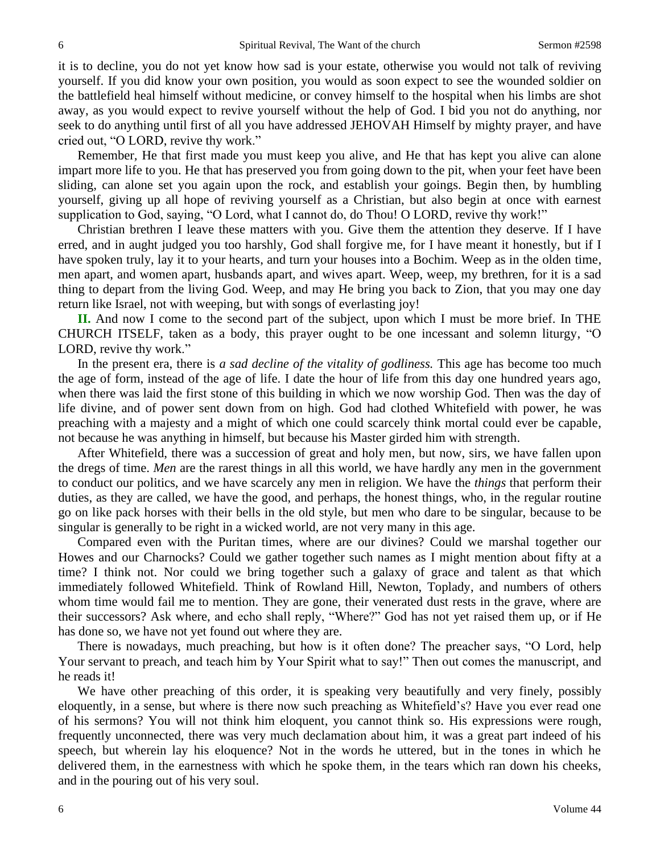it is to decline, you do not yet know how sad is your estate, otherwise you would not talk of reviving yourself. If you did know your own position, you would as soon expect to see the wounded soldier on the battlefield heal himself without medicine, or convey himself to the hospital when his limbs are shot away, as you would expect to revive yourself without the help of God. I bid you not do anything, nor seek to do anything until first of all you have addressed JEHOVAH Himself by mighty prayer, and have cried out, "O LORD, revive thy work."

Remember*,* He that first made you must keep you alive, and He that has kept you alive can alone impart more life to you. He that has preserved you from going down to the pit, when your feet have been sliding, can alone set you again upon the rock, and establish your goings. Begin then, by humbling yourself, giving up all hope of reviving yourself as a Christian, but also begin at once with earnest supplication to God, saying, "O Lord, what I cannot do, do Thou! O LORD, revive thy work!"

Christian brethren I leave these matters with you. Give them the attention they deserve. If I have erred, and in aught judged you too harshly, God shall forgive me, for I have meant it honestly, but if I have spoken truly, lay it to your hearts, and turn your houses into a Bochim. Weep as in the olden time, men apart, and women apart, husbands apart, and wives apart. Weep, weep, my brethren, for it is a sad thing to depart from the living God. Weep, and may He bring you back to Zion, that you may one day return like Israel, not with weeping, but with songs of everlasting joy!

**II.** And now I come to the second part of the subject, upon which I must be more brief. In THE CHURCH ITSELF, taken as a body, this prayer ought to be one incessant and solemn liturgy, "O LORD, revive thy work."

In the present era, there is *a sad decline of the vitality of godliness.* This age has become too much the age of form, instead of the age of life. I date the hour of life from this day one hundred years ago, when there was laid the first stone of this building in which we now worship God. Then was the day of life divine, and of power sent down from on high. God had clothed Whitefield with power, he was preaching with a majesty and a might of which one could scarcely think mortal could ever be capable, not because he was anything in himself, but because his Master girded him with strength.

After Whitefield, there was a succession of great and holy men, but now, sirs, we have fallen upon the dregs of time. *Men* are the rarest things in all this world, we have hardly any men in the government to conduct our politics, and we have scarcely any men in religion. We have the *things* that perform their duties, as they are called, we have the good, and perhaps, the honest things, who, in the regular routine go on like pack horses with their bells in the old style, but men who dare to be singular, because to be singular is generally to be right in a wicked world, are not very many in this age.

Compared even with the Puritan times, where are our divines? Could we marshal together our Howes and our Charnocks? Could we gather together such names as I might mention about fifty at a time? I think not. Nor could we bring together such a galaxy of grace and talent as that which immediately followed Whitefield. Think of Rowland Hill, Newton, Toplady, and numbers of others whom time would fail me to mention. They are gone, their venerated dust rests in the grave, where are their successors? Ask where, and echo shall reply, "Where?" God has not yet raised them up, or if He has done so, we have not yet found out where they are.

There is nowadays, much preaching, but how is it often done? The preacher says, "O Lord, help Your servant to preach, and teach him by Your Spirit what to say!" Then out comes the manuscript, and he reads it!

We have other preaching of this order, it is speaking very beautifully and very finely, possibly eloquently, in a sense, but where is there now such preaching as Whitefield's? Have you ever read one of his sermons? You will not think him eloquent, you cannot think so. His expressions were rough, frequently unconnected, there was very much declamation about him, it was a great part indeed of his speech, but wherein lay his eloquence? Not in the words he uttered, but in the tones in which he delivered them, in the earnestness with which he spoke them, in the tears which ran down his cheeks, and in the pouring out of his very soul.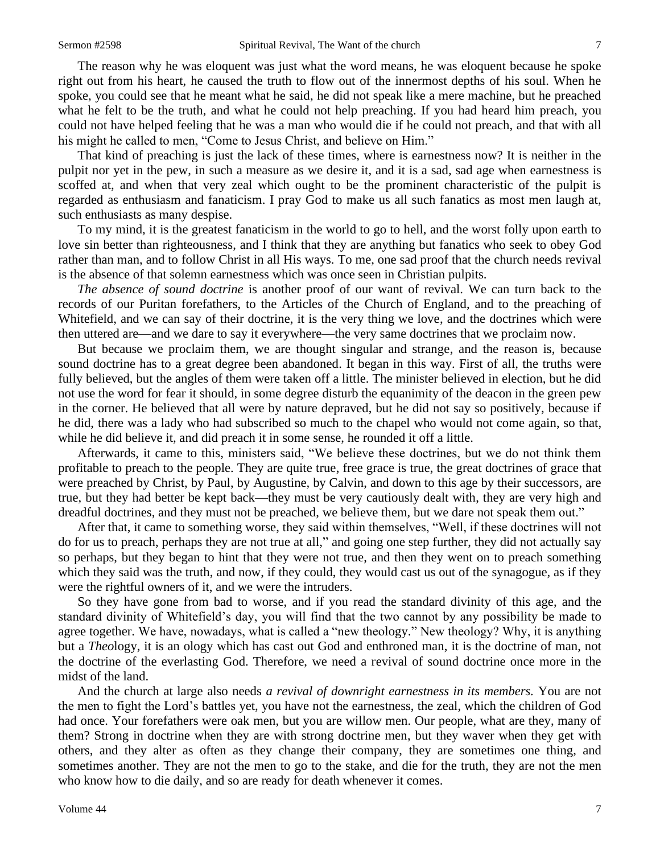The reason why he was eloquent was just what the word means, he was eloquent because he spoke right out from his heart, he caused the truth to flow out of the innermost depths of his soul. When he spoke, you could see that he meant what he said, he did not speak like a mere machine, but he preached what he felt to be the truth, and what he could not help preaching. If you had heard him preach, you could not have helped feeling that he was a man who would die if he could not preach, and that with all his might he called to men, "Come to Jesus Christ, and believe on Him."

That kind of preaching is just the lack of these times, where is earnestness now? It is neither in the pulpit nor yet in the pew, in such a measure as we desire it, and it is a sad*,* sad age when earnestness is scoffed at, and when that very zeal which ought to be the prominent characteristic of the pulpit is regarded as enthusiasm and fanaticism. I pray God to make us all such fanatics as most men laugh at, such enthusiasts as many despise.

To my mind, it is the greatest fanaticism in the world to go to hell, and the worst folly upon earth to love sin better than righteousness, and I think that they are anything but fanatics who seek to obey God rather than man, and to follow Christ in all His ways. To me, one sad proof that the church needs revival is the absence of that solemn earnestness which was once seen in Christian pulpits.

*The absence of sound doctrine* is another proof of our want of revival. We can turn back to the records of our Puritan forefathers, to the Articles of the Church of England, and to the preaching of Whitefield, and we can say of their doctrine, it is the very thing we love, and the doctrines which were then uttered are—and we dare to say it everywhere—the very same doctrines that we proclaim now.

But because we proclaim them, we are thought singular and strange, and the reason is, because sound doctrine has to a great degree been abandoned. It began in this way. First of all, the truths were fully believed, but the angles of them were taken off a little. The minister believed in election, but he did not use the word for fear it should, in some degree disturb the equanimity of the deacon in the green pew in the corner. He believed that all were by nature depraved, but he did not say so positively, because if he did, there was a lady who had subscribed so much to the chapel who would not come again, so that, while he did believe it, and did preach it in some sense, he rounded it off a little.

Afterwards*,* it came to this, ministers said, "We believe these doctrines, but we do not think them profitable to preach to the people. They are quite true, free grace is true, the great doctrines of grace that were preached by Christ, by Paul, by Augustine*,* by Calvin, and down to this age by their successors, are true, but they had better be kept back—they must be very cautiously dealt with, they are very high and dreadful doctrines, and they must not be preached, we believe them, but we dare not speak them out."

After that, it came to something worse, they said within themselves, "Well, if these doctrines will not do for us to preach, perhaps they are not true at all," and going one step further, they did not actually say so perhaps, but they began to hint that they were not true, and then they went on to preach something which they said was the truth, and now, if they could, they would cast us out of the synagogue, as if they were the rightful owners of it, and we were the intruders.

So they have gone from bad to worse, and if you read the standard divinity of this age, and the standard divinity of Whitefield's day, you will find that the two cannot by any possibility be made to agree together. We have, nowadays, what is called a "new theology." New theology? Why, it is anything but a *Theo*logy, it is an ology which has cast out God and enthroned man, it is the doctrine of man, not the doctrine of the everlasting God. Therefore, we need a revival of sound doctrine once more in the midst of the land.

And the church at large also needs *a revival of downright earnestness in its members.* You are not the men to fight the Lord's battles yet, you have not the earnestness, the zeal, which the children of God had once. Your forefathers were oak men, but you are willow men. Our people, what are they, many of them? Strong in doctrine when they are with strong doctrine men, but they waver when they get with others, and they alter as often as they change their company, they are sometimes one thing, and sometimes another. They are not the men to go to the stake, and die for the truth, they are not the men who know how to die daily, and so are ready for death whenever it comes.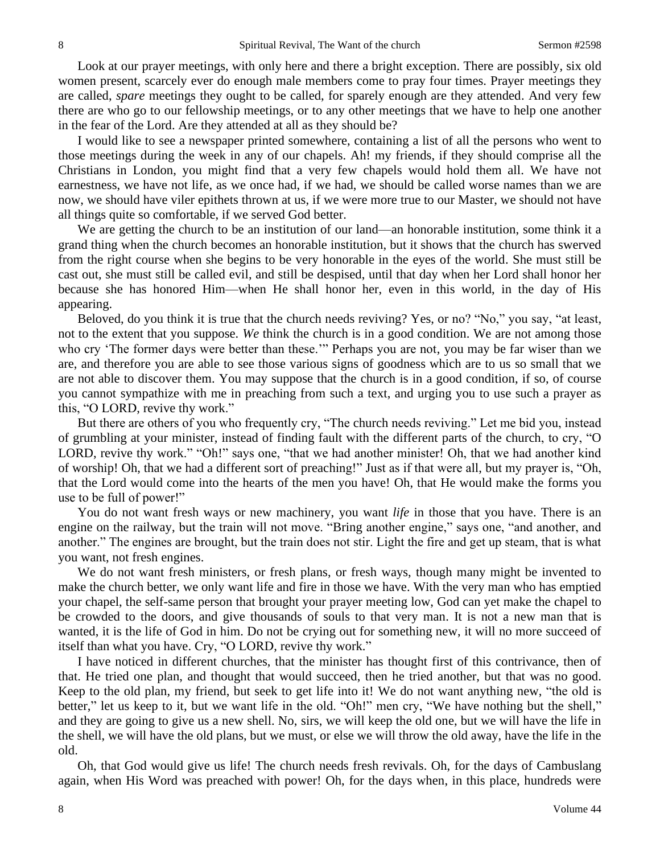Look at our prayer meetings, with only here and there a bright exception. There are possibly, six old women present, scarcely ever do enough male members come to pray four times. Prayer meetings they are called, *spare* meetings they ought to be called, for sparely enough are they attended. And very few there are who go to our fellowship meetings, or to any other meetings that we have to help one another in the fear of the Lord. Are they attended at all as they should be?

I would like to see a newspaper printed somewhere, containing a list of all the persons who went to those meetings during the week in any of our chapels. Ah! my friends, if they should comprise all the Christians in London, you might find that a very few chapels would hold them all. We have not earnestness, we have not life, as we once had, if we had, we should be called worse names than we are now, we should have viler epithets thrown at us, if we were more true to our Master, we should not have all things quite so comfortable, if we served God better.

We are getting the church to be an institution of our land—an honorable institution, some think it a grand thing when the church becomes an honorable institution, but it shows that the church has swerved from the right course when she begins to be very honorable in the eyes of the world. She must still be cast out, she must still be called evil, and still be despised, until that day when her Lord shall honor her because she has honored Him—when He shall honor her, even in this world, in the day of His appearing.

Beloved, do you think it is true that the church needs reviving? Yes, or no? "No," you say, "at least, not to the extent that you suppose. *We* think the church is in a good condition. We are not among those who cry 'The former days were better than these.'" Perhaps you are not, you may be far wiser than we are, and therefore you are able to see those various signs of goodness which are to us so small that we are not able to discover them. You may suppose that the church is in a good condition, if so, of course you cannot sympathize with me in preaching from such a text, and urging you to use such a prayer as this, "O LORD, revive thy work."

But there are others of you who frequently cry, "The church needs reviving." Let me bid you, instead of grumbling at your minister, instead of finding fault with the different parts of the church, to cry, "O LORD, revive thy work." "Oh!" says one, "that we had another minister! Oh, that we had another kind of worship! Oh, that we had a different sort of preaching!" Just as if that were all, but my prayer is, "Oh, that the Lord would come into the hearts of the men you have! Oh, that He would make the forms you use to be full of power!"

You do not want fresh ways or new machinery, you want *life* in those that you have. There is an engine on the railway, but the train will not move. "Bring another engine," says one, "and another, and another." The engines are brought, but the train does not stir. Light the fire and get up steam, that is what you want, not fresh engines.

We do not want fresh ministers, or fresh plans, or fresh ways, though many might be invented to make the church better, we only want life and fire in those we have. With the very man who has emptied your chapel, the self-same person that brought your prayer meeting low, God can yet make the chapel to be crowded to the doors, and give thousands of souls to that very man. It is not a new man that is wanted, it is the life of God in him. Do not be crying out for something new, it will no more succeed of itself than what you have. Cry, "O LORD, revive thy work."

I have noticed in different churches, that the minister has thought first of this contrivance, then of that. He tried one plan, and thought that would succeed, then he tried another, but that was no good. Keep to the old plan, my friend, but seek to get life into it! We do not want anything new, "the old is better," let us keep to it, but we want life in the old. "Oh!" men cry, "We have nothing but the shell," and they are going to give us a new shell. No, sirs, we will keep the old one, but we will have the life in the shell, we will have the old plans, but we must, or else we will throw the old away, have the life in the old.

Oh, that God would give us life! The church needs fresh revivals. Oh, for the days of Cambuslang again, when His Word was preached with power! Oh, for the days when, in this place, hundreds were